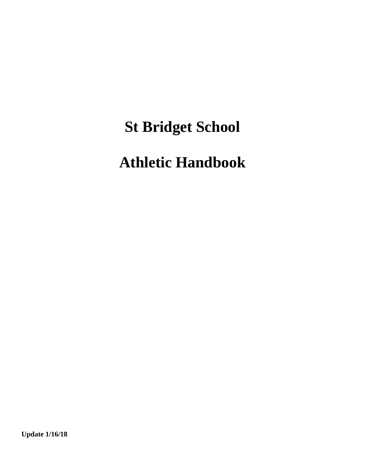# **St Bridget School**

# **Athletic Handbook**

**Update 1/16/18**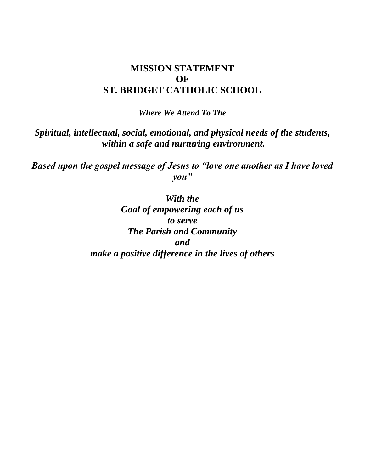#### **MISSION STATEMENT OF ST. BRIDGET CATHOLIC SCHOOL**

*Where We Attend To The*

*Spiritual, intellectual, social, emotional, and physical needs of the students, within a safe and nurturing environment.*

*Based upon the gospel message of Jesus to "love one another as I have loved you"*

#### *With the*

*Goal of empowering each of us to serve The Parish and Community and make a positive difference in the lives of others*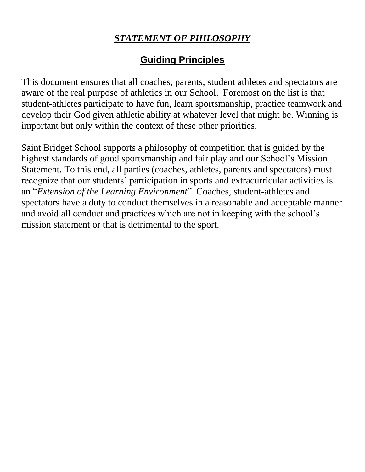# *STATEMENT OF PHILOSOPHY*

# **Guiding Principles**

This document ensures that all coaches, parents, student athletes and spectators are aware of the real purpose of athletics in our School. Foremost on the list is that student-athletes participate to have fun, learn sportsmanship, practice teamwork and develop their God given athletic ability at whatever level that might be. Winning is important but only within the context of these other priorities.

Saint Bridget School supports a philosophy of competition that is guided by the highest standards of good sportsmanship and fair play and our School's Mission Statement. To this end, all parties (coaches, athletes, parents and spectators) must recognize that our students' participation in sports and extracurricular activities is an "*Extension of the Learning Environment*". Coaches, student-athletes and spectators have a duty to conduct themselves in a reasonable and acceptable manner and avoid all conduct and practices which are not in keeping with the school's mission statement or that is detrimental to the sport.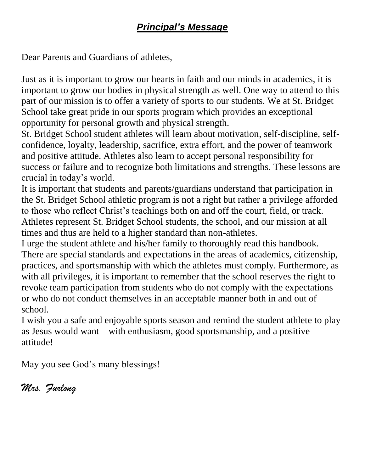# *Principal's Message*

Dear Parents and Guardians of athletes,

Just as it is important to grow our hearts in faith and our minds in academics, it is important to grow our bodies in physical strength as well. One way to attend to this part of our mission is to offer a variety of sports to our students. We at St. Bridget School take great pride in our sports program which provides an exceptional opportunity for personal growth and physical strength.

St. Bridget School student athletes will learn about motivation, self-discipline, selfconfidence, loyalty, leadership, sacrifice, extra effort, and the power of teamwork and positive attitude. Athletes also learn to accept personal responsibility for success or failure and to recognize both limitations and strengths. These lessons are crucial in today's world.

It is important that students and parents/guardians understand that participation in the St. Bridget School athletic program is not a right but rather a privilege afforded to those who reflect Christ's teachings both on and off the court, field, or track. Athletes represent St. Bridget School students, the school, and our mission at all times and thus are held to a higher standard than non-athletes.

I urge the student athlete and his/her family to thoroughly read this handbook. There are special standards and expectations in the areas of academics, citizenship, practices, and sportsmanship with which the athletes must comply. Furthermore, as with all privileges, it is important to remember that the school reserves the right to revoke team participation from students who do not comply with the expectations or who do not conduct themselves in an acceptable manner both in and out of school.

I wish you a safe and enjoyable sports season and remind the student athlete to play as Jesus would want – with enthusiasm, good sportsmanship, and a positive attitude!

May you see God's many blessings!

*Mrs. Furlong*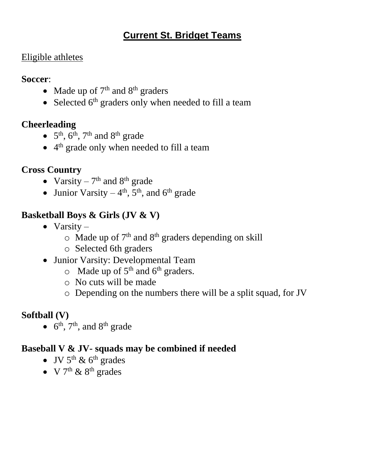# **Current St. Bridget Teams**

#### Eligible athletes

**Soccer**:

- Made up of  $7<sup>th</sup>$  and  $8<sup>th</sup>$  graders
- Selected  $6<sup>th</sup>$  graders only when needed to fill a team

# **Cheerleading**

- $5<sup>th</sup>$ ,  $6<sup>th</sup>$ ,  $7<sup>th</sup>$  and  $8<sup>th</sup>$  grade
- 4<sup>th</sup> grade only when needed to fill a team

# **Cross Country**

- Varsity  $7<sup>th</sup>$  and  $8<sup>th</sup>$  grade
- Junior Varsity  $-4<sup>th</sup>$ , 5<sup>th</sup>, and 6<sup>th</sup> grade

# **Basketball Boys & Girls (JV & V)**

- $\bullet$  Varsity
	- $\circ$  Made up of 7<sup>th</sup> and 8<sup>th</sup> graders depending on skill
	- o Selected 6th graders
- Junior Varsity: Developmental Team
	- $\circ$  Made up of 5<sup>th</sup> and 6<sup>th</sup> graders.
	- o No cuts will be made
	- o Depending on the numbers there will be a split squad, for JV

# **Softball (V)**

 $\bullet$  6<sup>th</sup>, 7<sup>th</sup>, and 8<sup>th</sup> grade

# **Baseball V & JV- squads may be combined if needed**

- JV  $5<sup>th</sup>$  &  $6<sup>th</sup>$  grades
- V  $7<sup>th</sup>$  &  $8<sup>th</sup>$  grades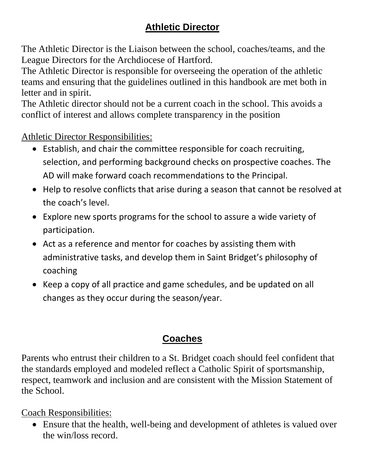# **Athletic Director**

The Athletic Director is the Liaison between the school, coaches/teams, and the League Directors for the Archdiocese of Hartford.

The Athletic Director is responsible for overseeing the operation of the athletic teams and ensuring that the guidelines outlined in this handbook are met both in letter and in spirit.

The Athletic director should not be a current coach in the school. This avoids a conflict of interest and allows complete transparency in the position

Athletic Director Responsibilities:

- Establish, and chair the committee responsible for coach recruiting, selection, and performing background checks on prospective coaches. The AD will make forward coach recommendations to the Principal.
- Help to resolve conflicts that arise during a season that cannot be resolved at the coach's level.
- Explore new sports programs for the school to assure a wide variety of participation.
- Act as a reference and mentor for coaches by assisting them with administrative tasks, and develop them in Saint Bridget's philosophy of coaching
- Keep a copy of all practice and game schedules, and be updated on all changes as they occur during the season/year.

# **Coaches**

Parents who entrust their children to a St. Bridget coach should feel confident that the standards employed and modeled reflect a Catholic Spirit of sportsmanship, respect, teamwork and inclusion and are consistent with the Mission Statement of the School.

Coach Responsibilities:

 Ensure that the health, well-being and development of athletes is valued over the win/loss record.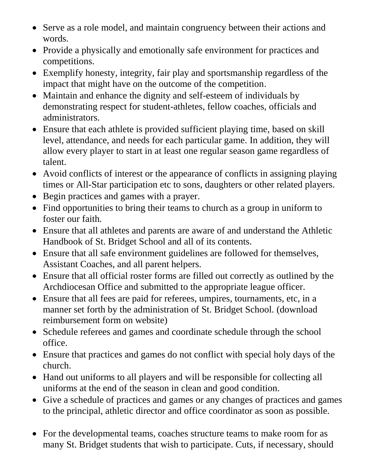- Serve as a role model, and maintain congruency between their actions and words.
- Provide a physically and emotionally safe environment for practices and competitions.
- Exemplify honesty, integrity, fair play and sportsmanship regardless of the impact that might have on the outcome of the competition.
- Maintain and enhance the dignity and self-esteem of individuals by demonstrating respect for student-athletes, fellow coaches, officials and administrators.
- Ensure that each athlete is provided sufficient playing time, based on skill level, attendance, and needs for each particular game. In addition, they will allow every player to start in at least one regular season game regardless of talent.
- Avoid conflicts of interest or the appearance of conflicts in assigning playing times or All-Star participation etc to sons, daughters or other related players.
- Begin practices and games with a prayer.
- Find opportunities to bring their teams to church as a group in uniform to foster our faith*.*
- Ensure that all athletes and parents are aware of and understand the Athletic Handbook of St. Bridget School and all of its contents.
- Ensure that all safe environment guidelines are followed for themselves, Assistant Coaches, and all parent helpers.
- Ensure that all official roster forms are filled out correctly as outlined by the Archdiocesan Office and submitted to the appropriate league officer.
- Ensure that all fees are paid for referees, umpires, tournaments, etc, in a manner set forth by the administration of St. Bridget School. (download reimbursement form on website)
- Schedule referees and games and coordinate schedule through the school office.
- Ensure that practices and games do not conflict with special holy days of the church.
- Hand out uniforms to all players and will be responsible for collecting all uniforms at the end of the season in clean and good condition.
- Give a schedule of practices and games or any changes of practices and games to the principal, athletic director and office coordinator as soon as possible.
- For the developmental teams, coaches structure teams to make room for as many St. Bridget students that wish to participate. Cuts, if necessary, should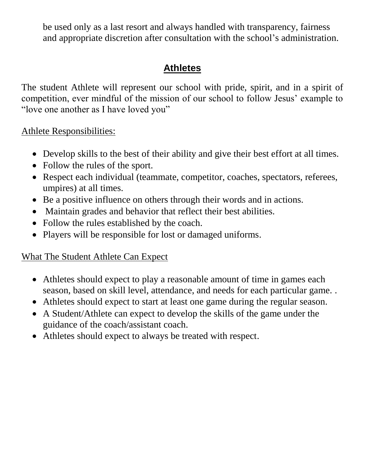be used only as a last resort and always handled with transparency, fairness and appropriate discretion after consultation with the school's administration.

# **Athletes**

The student Athlete will represent our school with pride, spirit, and in a spirit of competition, ever mindful of the mission of our school to follow Jesus' example to "love one another as I have loved you"

Athlete Responsibilities:

- Develop skills to the best of their ability and give their best effort at all times.
- Follow the rules of the sport.
- Respect each individual (teammate, competitor, coaches, spectators, referees, umpires) at all times.
- Be a positive influence on others through their words and in actions.
- Maintain grades and behavior that reflect their best abilities.
- Follow the rules established by the coach.
- Players will be responsible for lost or damaged uniforms.

### What The Student Athlete Can Expect

- Athletes should expect to play a reasonable amount of time in games each season, based on skill level, attendance, and needs for each particular game. .
- Athletes should expect to start at least one game during the regular season.
- A Student/Athlete can expect to develop the skills of the game under the guidance of the coach/assistant coach.
- Athletes should expect to always be treated with respect.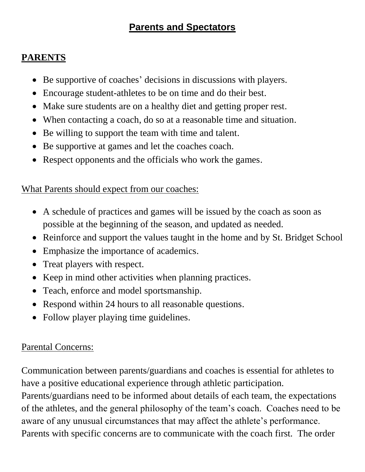# **Parents and Spectators**

# **PARENTS**

- Be supportive of coaches' decisions in discussions with players.
- Encourage student-athletes to be on time and do their best.
- Make sure students are on a healthy diet and getting proper rest.
- When contacting a coach, do so at a reasonable time and situation.
- Be willing to support the team with time and talent.
- Be supportive at games and let the coaches coach.
- Respect opponents and the officials who work the games.

#### What Parents should expect from our coaches:

- A schedule of practices and games will be issued by the coach as soon as possible at the beginning of the season, and updated as needed.
- Reinforce and support the values taught in the home and by St. Bridget School
- Emphasize the importance of academics.
- Treat players with respect.
- Keep in mind other activities when planning practices.
- Teach, enforce and model sportsmanship.
- Respond within 24 hours to all reasonable questions.
- Follow player playing time guidelines.

### Parental Concerns:

Communication between parents/guardians and coaches is essential for athletes to have a positive educational experience through athletic participation.

Parents/guardians need to be informed about details of each team, the expectations of the athletes, and the general philosophy of the team's coach. Coaches need to be aware of any unusual circumstances that may affect the athlete's performance. Parents with specific concerns are to communicate with the coach first. The order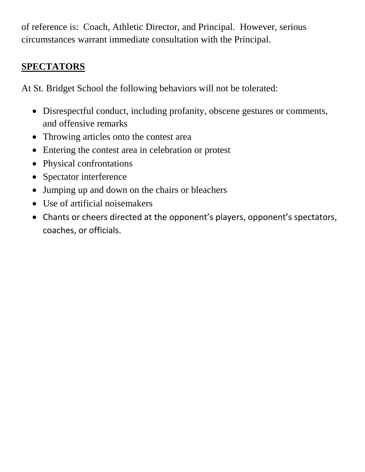of reference is: Coach, Athletic Director, and Principal. However, serious circumstances warrant immediate consultation with the Principal.

# **SPECTATORS**

At St. Bridget School the following behaviors will not be tolerated:

- Disrespectful conduct, including profanity, obscene gestures or comments, and offensive remarks
- Throwing articles onto the contest area
- Entering the contest area in celebration or protest
- Physical confrontations
- Spectator interference
- Jumping up and down on the chairs or bleachers
- Use of artificial noisemakers
- Chants or cheers directed at the opponent's players, opponent's spectators, coaches, or officials.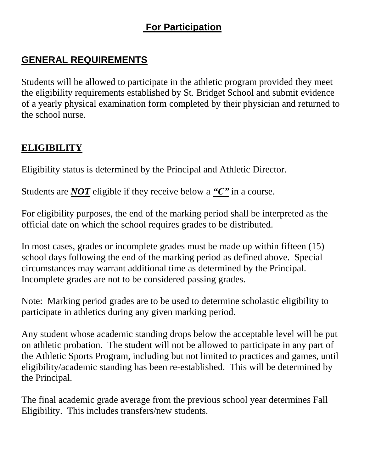# **For Participation**

# **GENERAL REQUIREMENTS**

Students will be allowed to participate in the athletic program provided they meet the eligibility requirements established by St. Bridget School and submit evidence of a yearly physical examination form completed by their physician and returned to the school nurse.

### **ELIGIBILITY**

Eligibility status is determined by the Principal and Athletic Director.

Students are *NOT* eligible if they receive below a *"C"* in a course.

For eligibility purposes, the end of the marking period shall be interpreted as the official date on which the school requires grades to be distributed.

In most cases, grades or incomplete grades must be made up within fifteen (15) school days following the end of the marking period as defined above. Special circumstances may warrant additional time as determined by the Principal. Incomplete grades are not to be considered passing grades.

Note: Marking period grades are to be used to determine scholastic eligibility to participate in athletics during any given marking period.

Any student whose academic standing drops below the acceptable level will be put on athletic probation. The student will not be allowed to participate in any part of the Athletic Sports Program, including but not limited to practices and games, until eligibility/academic standing has been re-established. This will be determined by the Principal.

The final academic grade average from the previous school year determines Fall Eligibility. This includes transfers/new students.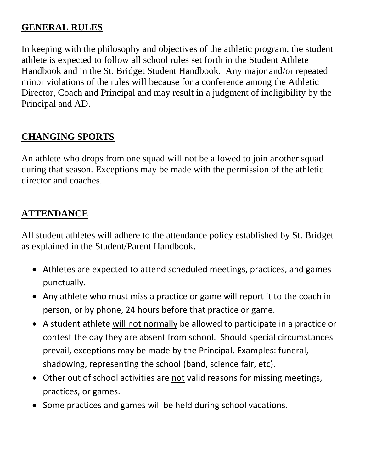#### **GENERAL RULES**

In keeping with the philosophy and objectives of the athletic program, the student athlete is expected to follow all school rules set forth in the Student Athlete Handbook and in the St. Bridget Student Handbook. Any major and/or repeated minor violations of the rules will because for a conference among the Athletic Director, Coach and Principal and may result in a judgment of ineligibility by the Principal and AD.

#### **CHANGING SPORTS**

An athlete who drops from one squad will not be allowed to join another squad during that season. Exceptions may be made with the permission of the athletic director and coaches.

### **ATTENDANCE**

All student athletes will adhere to the attendance policy established by St. Bridget as explained in the Student/Parent Handbook.

- Athletes are expected to attend scheduled meetings, practices, and games punctually.
- Any athlete who must miss a practice or game will report it to the coach in person, or by phone, 24 hours before that practice or game.
- A student athlete will not normally be allowed to participate in a practice or contest the day they are absent from school. Should special circumstances prevail, exceptions may be made by the Principal. Examples: funeral, shadowing, representing the school (band, science fair, etc).
- Other out of school activities are not valid reasons for missing meetings, practices, or games.
- Some practices and games will be held during school vacations.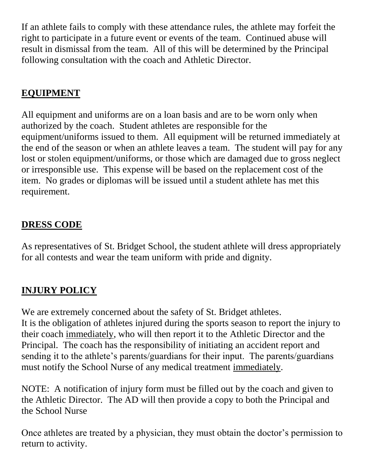If an athlete fails to comply with these attendance rules, the athlete may forfeit the right to participate in a future event or events of the team. Continued abuse will result in dismissal from the team. All of this will be determined by the Principal following consultation with the coach and Athletic Director.

# **EQUIPMENT**

All equipment and uniforms are on a loan basis and are to be worn only when authorized by the coach. Student athletes are responsible for the equipment/uniforms issued to them. All equipment will be returned immediately at the end of the season or when an athlete leaves a team. The student will pay for any lost or stolen equipment/uniforms, or those which are damaged due to gross neglect or irresponsible use. This expense will be based on the replacement cost of the item. No grades or diplomas will be issued until a student athlete has met this requirement.

# **DRESS CODE**

As representatives of St. Bridget School, the student athlete will dress appropriately for all contests and wear the team uniform with pride and dignity.

# **INJURY POLICY**

We are extremely concerned about the safety of St. Bridget athletes. It is the obligation of athletes injured during the sports season to report the injury to their coach immediately, who will then report it to the Athletic Director and the Principal. The coach has the responsibility of initiating an accident report and sending it to the athlete's parents/guardians for their input. The parents/guardians must notify the School Nurse of any medical treatment immediately.

NOTE: A notification of injury form must be filled out by the coach and given to the Athletic Director. The AD will then provide a copy to both the Principal and the School Nurse

Once athletes are treated by a physician, they must obtain the doctor's permission to return to activity.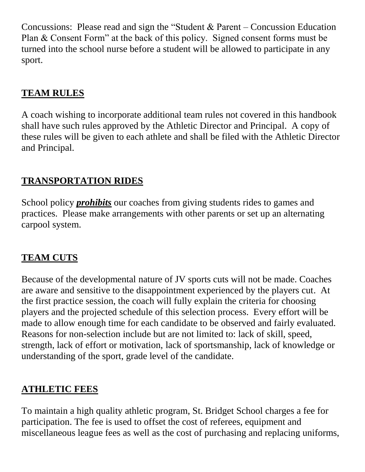Concussions: Please read and sign the "Student & Parent – Concussion Education Plan & Consent Form" at the back of this policy. Signed consent forms must be turned into the school nurse before a student will be allowed to participate in any sport.

# **TEAM RULES**

A coach wishing to incorporate additional team rules not covered in this handbook shall have such rules approved by the Athletic Director and Principal. A copy of these rules will be given to each athlete and shall be filed with the Athletic Director and Principal.

# **TRANSPORTATION RIDES**

School policy *prohibits* our coaches from giving students rides to games and practices. Please make arrangements with other parents or set up an alternating carpool system.

# **TEAM CUTS**

Because of the developmental nature of JV sports cuts will not be made. Coaches are aware and sensitive to the disappointment experienced by the players cut. At the first practice session, the coach will fully explain the criteria for choosing players and the projected schedule of this selection process. Every effort will be made to allow enough time for each candidate to be observed and fairly evaluated. Reasons for non-selection include but are not limited to: lack of skill, speed, strength, lack of effort or motivation, lack of sportsmanship, lack of knowledge or understanding of the sport, grade level of the candidate.

# **ATHLETIC FEES**

To maintain a high quality athletic program, St. Bridget School charges a fee for participation. The fee is used to offset the cost of referees, equipment and miscellaneous league fees as well as the cost of purchasing and replacing uniforms,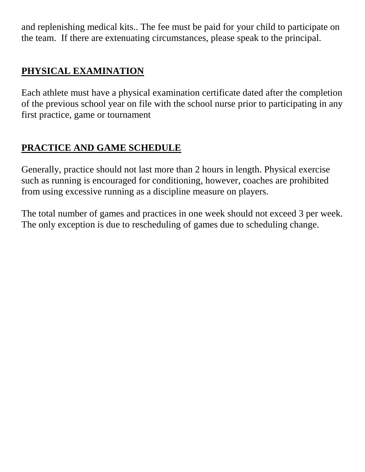and replenishing medical kits.. The fee must be paid for your child to participate on the team. If there are extenuating circumstances, please speak to the principal.

# **PHYSICAL EXAMINATION**

Each athlete must have a physical examination certificate dated after the completion of the previous school year on file with the school nurse prior to participating in any first practice, game or tournament

# **PRACTICE AND GAME SCHEDULE**

Generally, practice should not last more than 2 hours in length. Physical exercise such as running is encouraged for conditioning, however, coaches are prohibited from using excessive running as a discipline measure on players.

The total number of games and practices in one week should not exceed 3 per week. The only exception is due to rescheduling of games due to scheduling change.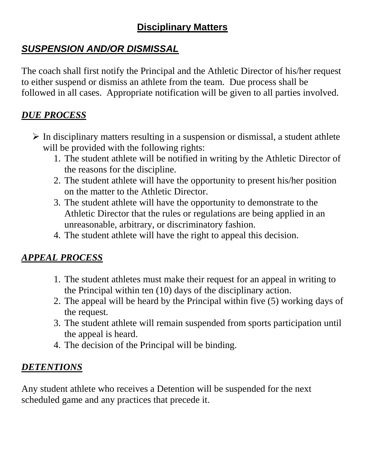# **Disciplinary Matters**

# *SUSPENSION AND/OR DISMISSAL*

The coach shall first notify the Principal and the Athletic Director of his/her request to either suspend or dismiss an athlete from the team. Due process shall be followed in all cases. Appropriate notification will be given to all parties involved.

# *DUE PROCESS*

- $\triangleright$  In disciplinary matters resulting in a suspension or dismissal, a student athlete will be provided with the following rights:
	- 1. The student athlete will be notified in writing by the Athletic Director of the reasons for the discipline.
	- 2. The student athlete will have the opportunity to present his/her position on the matter to the Athletic Director.
	- 3. The student athlete will have the opportunity to demonstrate to the Athletic Director that the rules or regulations are being applied in an unreasonable, arbitrary, or discriminatory fashion.
	- 4. The student athlete will have the right to appeal this decision.

# *APPEAL PROCESS*

- 1. The student athletes must make their request for an appeal in writing to the Principal within ten (10) days of the disciplinary action.
- 2. The appeal will be heard by the Principal within five (5) working days of the request.
- 3. The student athlete will remain suspended from sports participation until the appeal is heard.
- 4. The decision of the Principal will be binding.

### *DETENTIONS*

Any student athlete who receives a Detention will be suspended for the next scheduled game and any practices that precede it.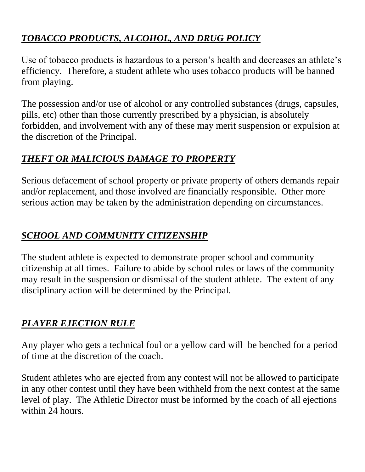# *TOBACCO PRODUCTS, ALCOHOL, AND DRUG POLICY*

Use of tobacco products is hazardous to a person's health and decreases an athlete's efficiency. Therefore, a student athlete who uses tobacco products will be banned from playing.

The possession and/or use of alcohol or any controlled substances (drugs, capsules, pills, etc) other than those currently prescribed by a physician, is absolutely forbidden, and involvement with any of these may merit suspension or expulsion at the discretion of the Principal.

# *THEFT OR MALICIOUS DAMAGE TO PROPERTY*

Serious defacement of school property or private property of others demands repair and/or replacement, and those involved are financially responsible. Other more serious action may be taken by the administration depending on circumstances.

# *SCHOOL AND COMMUNITY CITIZENSHIP*

The student athlete is expected to demonstrate proper school and community citizenship at all times. Failure to abide by school rules or laws of the community may result in the suspension or dismissal of the student athlete. The extent of any disciplinary action will be determined by the Principal.

# *PLAYER EJECTION RULE*

Any player who gets a technical foul or a yellow card will be benched for a period of time at the discretion of the coach.

Student athletes who are ejected from any contest will not be allowed to participate in any other contest until they have been withheld from the next contest at the same level of play. The Athletic Director must be informed by the coach of all ejections within 24 hours.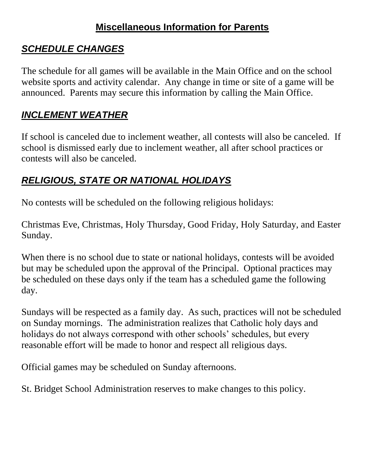# **Miscellaneous Information for Parents**

# *SCHEDULE CHANGES*

The schedule for all games will be available in the Main Office and on the school website sports and activity calendar. Any change in time or site of a game will be announced. Parents may secure this information by calling the Main Office.

# *INCLEMENT WEATHER*

If school is canceled due to inclement weather, all contests will also be canceled. If school is dismissed early due to inclement weather, all after school practices or contests will also be canceled.

# *RELIGIOUS, STATE OR NATIONAL HOLIDAYS*

No contests will be scheduled on the following religious holidays:

Christmas Eve, Christmas, Holy Thursday, Good Friday, Holy Saturday, and Easter Sunday.

When there is no school due to state or national holidays, contests will be avoided but may be scheduled upon the approval of the Principal. Optional practices may be scheduled on these days only if the team has a scheduled game the following day.

Sundays will be respected as a family day. As such, practices will not be scheduled on Sunday mornings. The administration realizes that Catholic holy days and holidays do not always correspond with other schools' schedules, but every reasonable effort will be made to honor and respect all religious days.

Official games may be scheduled on Sunday afternoons.

St. Bridget School Administration reserves to make changes to this policy.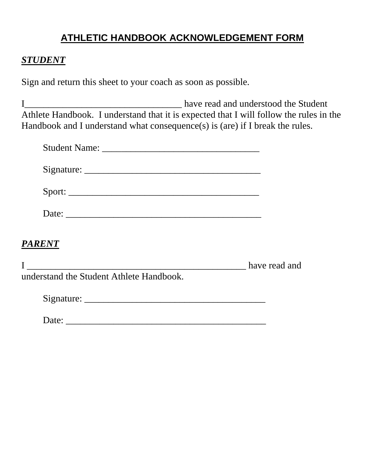# **ATHLETIC HANDBOOK ACKNOWLEDGEMENT FORM**

#### *STUDENT*

Sign and return this sheet to your coach as soon as possible.

I\_\_\_\_\_\_\_\_\_\_\_\_\_\_\_\_\_\_\_\_\_\_\_\_\_\_\_\_\_\_\_\_\_ have read and understood the Student Athlete Handbook. I understand that it is expected that I will follow the rules in the Handbook and I understand what consequence(s) is (are) if I break the rules.

| Sport:                                                                                                                                                                                                                                                                                                                                                                                                                                                                   |               |
|--------------------------------------------------------------------------------------------------------------------------------------------------------------------------------------------------------------------------------------------------------------------------------------------------------------------------------------------------------------------------------------------------------------------------------------------------------------------------|---------------|
| Date:                                                                                                                                                                                                                                                                                                                                                                                                                                                                    |               |
| <b>PARENT</b>                                                                                                                                                                                                                                                                                                                                                                                                                                                            |               |
| $\begin{array}{ccc} \text{I} & \text{I} & \text{I} & \text{I} & \text{I} & \text{I} & \text{I} & \text{I} & \text{I} & \text{I} & \text{I} & \text{I} & \text{I} & \text{I} & \text{I} & \text{I} & \text{I} & \text{I} & \text{I} & \text{I} & \text{I} & \text{I} & \text{I} & \text{I} & \text{I} & \text{I} & \text{I} & \text{I} & \text{I} & \text{I} & \text{I} & \text{I} & \text{I} & \text{I} & \text{I} & \text{$<br>understand the Student Athlete Handbook. | have read and |
|                                                                                                                                                                                                                                                                                                                                                                                                                                                                          |               |

| Date: |  |
|-------|--|
|       |  |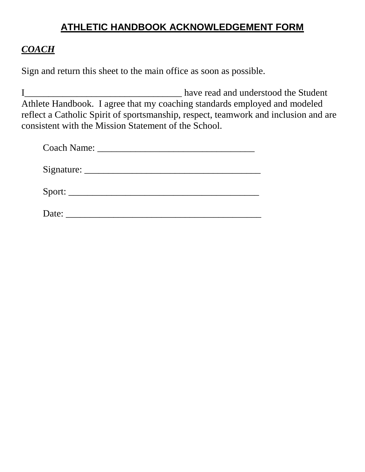# **ATHLETIC HANDBOOK ACKNOWLEDGEMENT FORM**

#### *COACH*

Sign and return this sheet to the main office as soon as possible.

I have read and understood the Student Athlete Handbook. I agree that my coaching standards employed and modeled reflect a Catholic Spirit of sportsmanship, respect, teamwork and inclusion and are consistent with the Mission Statement of the School.

| Date: |  |  |
|-------|--|--|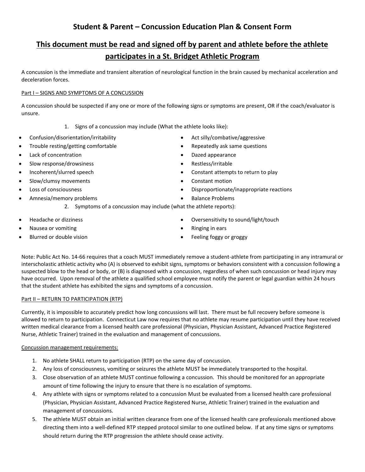#### **Student & Parent – Concussion Education Plan & Consent Form**

#### **This document must be read and signed off by parent and athlete before the athlete participates in a St. Bridget Athletic Program**

A concussion is the immediate and transient alteration of neurological function in the brain caused by mechanical acceleration and deceleration forces.

#### Part I – SIGNS AND SYMPTOMS OF A CONCUSSION

A concussion should be suspected if any one or more of the following signs or symptoms are present, OR if the coach/evaluator is unsure.

- 1. Signs of a concussion may include (What the athlete looks like):
- Confusion/disorientation/irritability
- Trouble resting/getting comfortable
- Lack of concentration
- Slow response/drowsiness
- Incoherent/slurred speech
- Slow/clumsy movements
- Loss of consciousness
- Amnesia/memory problems
- Act silly/combative/aggressive
- Repeatedly ask same questions
- Dazed appearance
- Restless/irritable
- Constant attempts to return to play
- Constant motion
- Disproportionate/inappropriate reactions
- Balance Problems
- 2. Symptoms of a concussion may include (what the athlete reports):
- Headache or dizziness
- Nausea or vomiting
- Blurred or double vision
- Oversensitivity to sound/light/touch
- Ringing in ears
- Feeling foggy or groggy

Note: Public Act No. 14-66 requires that a coach MUST immediately remove a student-athlete from participating in any intramural or interscholastic athletic activity who (A) is observed to exhibit signs, symptoms or behaviors consistent with a concussion following a suspected blow to the head or body, or (B) is diagnosed with a concussion, regardless of when such concussion or head injury may have occurred. Upon removal of the athlete a qualified school employee must notify the parent or legal guardian within 24 hours that the student athlete has exhibited the signs and symptoms of a concussion.

#### Part II – RETURN TO PARTICIPATION (RTP)

Currently, it is impossible to accurately predict how long concussions will last. There must be full recovery before someone is allowed to return to participation. Connecticut Law now requires that no athlete may resume participation until they have received written medical clearance from a licensed health care professional (Physician, Physician Assistant, Advanced Practice Registered Nurse, Athletic Trainer) trained in the evaluation and management of concussions.

#### Concussion management requirements:

- 1. No athlete SHALL return to participation (RTP) on the same day of concussion.
- 2. Any loss of consciousness, vomiting or seizures the athlete MUST be immediately transported to the hospital.
- 3. Close observation of an athlete MUST continue following a concussion. This should be monitored for an appropriate amount of time following the injury to ensure that there is no escalation of symptoms.
- 4. Any athlete with signs or symptoms related to a concussion Must be evaluated from a licensed health care professional (Physician, Physician Assistant, Advanced Practice Registered Nurse, Athletic Trainer) trained in the evaluation and management of concussions.
- 5. The athlete MUST obtain an initial written clearance from one of the licensed health care professionals mentioned above directing them into a well-defined RTP stepped protocol similar to one outlined below. If at any time signs or symptoms should return during the RTP progression the athlete should cease activity.